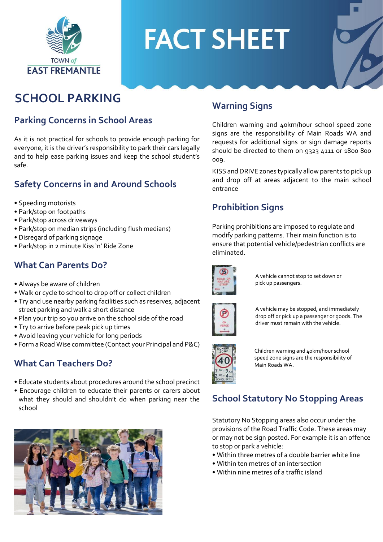

# **FACT SHEET**

# **SCHOOL PARKING**

#### **Parking Concerns in School Areas**

As it is not practical for schools to provide enough parking for everyone, it is the driver's responsibility to park their cars legally and to help ease parking issues and keep the school student's safe.

#### **Safety Concerns in and Around Schools**

- Speeding motorists
- Park/stop on footpaths
- Park/stop across driveways
- Park/stop on median strips (including flush medians)
- Disregard of parking signage
- Park/stop in 2 minute Kiss 'n' Ride Zone

#### **What Can Parents Do?**

- Always be aware of children
- Walk or cycle to school to drop off or collect children
- Try and use nearby parking facilities such as reserves, adjacent street parking and walk a short distance
- Plan your trip so you arrive on the school side of the road
- Try to arrive before peak pick up times
- Avoid leaving your vehicle for long periods
- Form a Road Wise committee (Contact your Principal and P&C)

#### **What Can Teachers Do?**

- Educate students about procedures around the school precinct
- Encourage children to educate their parents or carers about what they should and shouldn't do when parking near the school



#### **Warning Signs**

Children warning and 40km/hour school speed zone signs are the responsibility of Main Roads WA and requests for additional signs or sign damage reports should be directed to them on 9323 4111 or 1800 800 009.

KISS and DRIVE zones typically allow parents to pick up and drop off at areas adjacent to the main school entrance

#### **Prohibition Signs**

Parking prohibitions are imposed to regulate and modify parking patterns. Their main function is to ensure that potential vehicle/pedestrian conflicts are eliminated.



A vehicle cannot stop to set down or pick up passengers.



A vehicle may be stopped, and immediately drop off or pick up a passenger or goods. The driver must remain with the vehicle.



Children warning and 40km/hour school speed zone signs are the responsibility of Main Roads WA.

### **School Statutory No Stopping Areas**

Statutory No Stopping areas also occur under the provisions of the Road Traffic Code. These areas may or may not be sign posted. For example it is an offence to stop or park a vehicle:

- Within three metres of a double barrier white line
- Within ten metres of an intersection
- Within nine metres of a traffic island